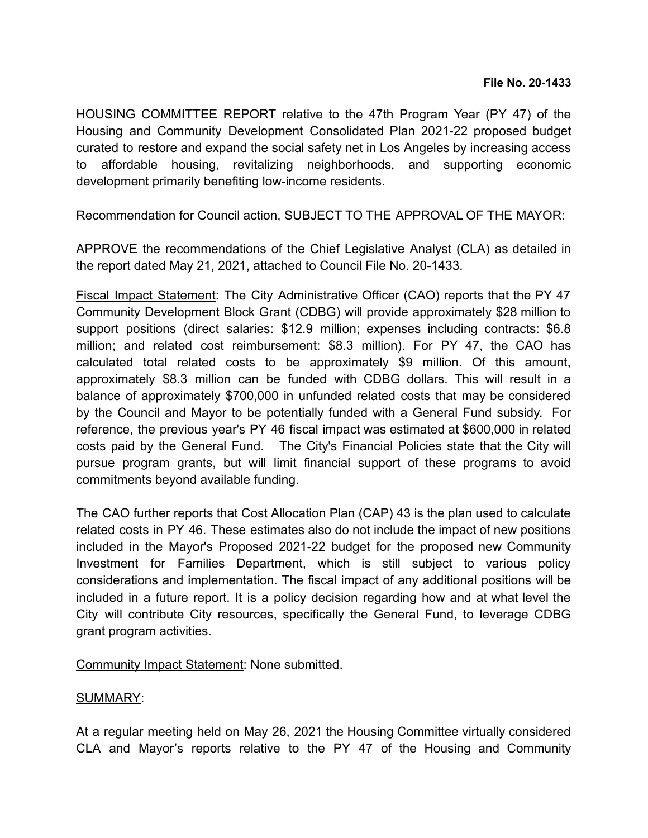HOUSING COMMITTEE REPORT relative to the 47th Program Year (PY 47) of the Housing and Community Development Consolidated Plan 2021-22 proposed budget curated to restore and expand the social safety net in Los Angeles by increasing access to affordable housing, revitalizing neighborhoods, and supporting economic development primarily benefiting low-income residents.

Recommendation for Council action, SUBJECT TO THE APPROVAL OF THE MAYOR:

APPROVE the recommendations of the Chief Legislative Analyst (CLA) as detailed in the report dated May 21, 2021, attached to Council File No. 20-1433.

Fiscal Impact Statement: The City Administrative Officer (CAO) reports that the PY 47 Community Development Block Grant (CDBG) will provide approximately \$28 million to support positions (direct salaries: \$12.9 million; expenses including contracts: \$6.8 million; and related cost reimbursement: \$8.3 million). For PY 47, the CAO has calculated total related costs to be approximately \$9 million. Of this amount, approximately \$8.3 million can be funded with CDBG dollars. This will result in a balance of approximately \$700,000 in unfunded related costs that may be considered by the Council and Mayor to be potentially funded with a General Fund subsidy. For reference, the previous year's PY 46 fiscal impact was estimated at \$600,000 in related costs paid by the General Fund. The City's Financial Policies state that the City will pursue program grants, but will limit financial support of these programs to avoid commitments beyond available funding.

The CAO further reports that Cost Allocation Plan (CAP) 43 is the plan used to calculate related costs in PY 46. These estimates also do not include the impact of new positions included in the Mayor's Proposed 2021-22 budget for the proposed new Community Investment for Families Department, which is still subject to various policy considerations and implementation. The fiscal impact of any additional positions will be included in a future report. It is a policy decision regarding how and at what level the City will contribute City resources, specifically the General Fund, to leverage CDBG grant program activities.

Community Impact Statement: None submitted.

## SUMMARY:

At a regular meeting held on May 26, 2021 the Housing Committee virtually considered CLA and Mayor's reports relative to the PY 47 of the Housing and Community